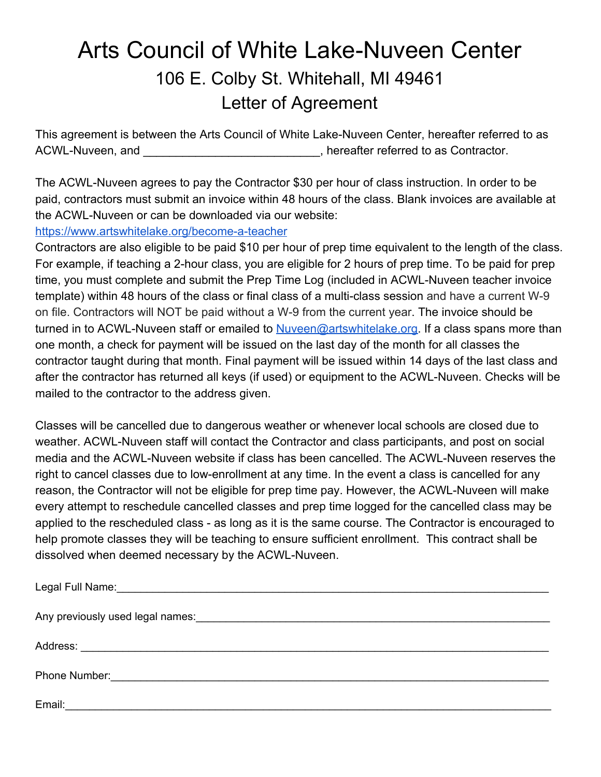## Arts Council of White Lake-Nuveen Center 106 E. Colby St. Whitehall, MI 49461 Letter of Agreement

This agreement is between the Arts Council of White Lake-Nuveen Center, hereafter referred to as ACWL-Nuveen, and \_\_\_\_\_\_\_\_\_\_\_\_\_\_\_\_\_\_\_\_\_, hereafter referred to as Contractor.

The ACWL-Nuveen agrees to pay the Contractor \$30 per hour of class instruction. In order to be paid, contractors must submit an invoice within 48 hours of the class. Blank invoices are available at the ACWL-Nuveen or can be downloaded via our website:

## <https://www.artswhitelake.org/become-a-teacher>

Contractors are also eligible to be paid \$10 per hour of prep time equivalent to the length of the class. For example, if teaching a 2-hour class, you are eligible for 2 hours of prep time. To be paid for prep time, you must complete and submit the Prep Time Log (included in ACWL-Nuveen teacher invoice template) within 48 hours of the class or final class of a multi-class session and have a current W-9 on file. Contractors will NOT be paid without a W-9 from the current year. The invoice should be turned in to ACWL-Nuveen staff or emailed to [Nuveen@artswhitelake.org.](mailto:Nuveen@artswhitelake.org) If a class spans more than one month, a check for payment will be issued on the last day of the month for all classes the contractor taught during that month. Final payment will be issued within 14 days of the last class and after the contractor has returned all keys (if used) or equipment to the ACWL-Nuveen. Checks will be mailed to the contractor to the address given.

Classes will be cancelled due to dangerous weather or whenever local schools are closed due to weather. ACWL-Nuveen staff will contact the Contractor and class participants, and post on social media and the ACWL-Nuveen website if class has been cancelled. The ACWL-Nuveen reserves the right to cancel classes due to low-enrollment at any time. In the event a class is cancelled for any reason, the Contractor will not be eligible for prep time pay. However, the ACWL-Nuveen will make every attempt to reschedule cancelled classes and prep time logged for the cancelled class may be applied to the rescheduled class - as long as it is the same course. The Contractor is encouraged to help promote classes they will be teaching to ensure sufficient enrollment. This contract shall be dissolved when deemed necessary by the ACWL-Nuveen.

| Legal Full Name: 1990 Manual Communication of the Manual Communication of the Manual Communication of the Manua |
|-----------------------------------------------------------------------------------------------------------------|
|                                                                                                                 |
|                                                                                                                 |
|                                                                                                                 |
| Email:                                                                                                          |